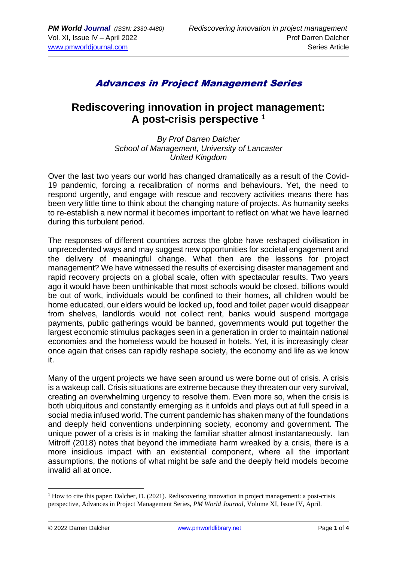# Advances in Project Management Series

### **Rediscovering innovation in project management: A post-crisis perspective <sup>1</sup>**

*By Prof Darren Dalcher School of Management, University of Lancaster United Kingdom*

Over the last two years our world has changed dramatically as a result of the Covid-19 pandemic, forcing a recalibration of norms and behaviours. Yet, the need to respond urgently, and engage with rescue and recovery activities means there has been very little time to think about the changing nature of projects. As humanity seeks to re-establish a new normal it becomes important to reflect on what we have learned during this turbulent period.

The responses of different countries across the globe have reshaped civilisation in unprecedented ways and may suggest new opportunities for societal engagement and the delivery of meaningful change. What then are the lessons for project management? We have witnessed the results of exercising disaster management and rapid recovery projects on a global scale, often with spectacular results. Two years ago it would have been unthinkable that most schools would be closed, billions would be out of work, individuals would be confined to their homes, all children would be home educated, our elders would be locked up, food and toilet paper would disappear from shelves, landlords would not collect rent, banks would suspend mortgage payments, public gatherings would be banned, governments would put together the largest economic stimulus packages seen in a generation in order to maintain national economies and the homeless would be housed in hotels. Yet, it is increasingly clear once again that crises can rapidly reshape society, the economy and life as we know it.

Many of the urgent projects we have seen around us were borne out of crisis. A crisis is a wakeup call. Crisis situations are extreme because they threaten our very survival, creating an overwhelming urgency to resolve them. Even more so, when the crisis is both ubiquitous and constantly emerging as it unfolds and plays out at full speed in a social media infused world. The current pandemic has shaken many of the foundations and deeply held conventions underpinning society, economy and government. The unique power of a crisis is in making the familiar shatter almost instantaneously. Ian Mitroff (2018) notes that beyond the immediate harm wreaked by a crisis, there is a more insidious impact with an existential component, where all the important assumptions, the notions of what might be safe and the deeply held models become invalid all at once.

 $<sup>1</sup>$  How to cite this paper: Dalcher, D. (2021). Rediscovering innovation in project management: a post-crisis</sup> perspective, Advances in Project Management Series, *PM World Journal,* Volume XI, Issue IV, April.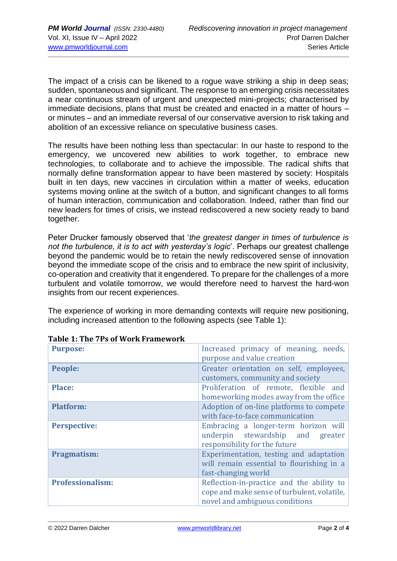The impact of a crisis can be likened to a rogue wave striking a ship in deep seas; sudden, spontaneous and significant. The response to an emerging crisis necessitates a near continuous stream of urgent and unexpected mini-projects; characterised by immediate decisions, plans that must be created and enacted in a matter of hours – or minutes – and an immediate reversal of our conservative aversion to risk taking and abolition of an excessive reliance on speculative business cases.

The results have been nothing less than spectacular: In our haste to respond to the emergency, we uncovered new abilities to work together, to embrace new technologies, to collaborate and to achieve the impossible. The radical shifts that normally define transformation appear to have been mastered by society: Hospitals built in ten days, new vaccines in circulation within a matter of weeks, education systems moving online at the switch of a button, and significant changes to all forms of human interaction, communication and collaboration. Indeed, rather than find our new leaders for times of crisis, we instead rediscovered a new society ready to band together.

Peter Drucker famously observed that '*the greatest danger in times of turbulence is not the turbulence, it is to act with yesterday's logic*'. Perhaps our greatest challenge beyond the pandemic would be to retain the newly rediscovered sense of innovation beyond the immediate scope of the crisis and to embrace the new spirit of inclusivity, co-operation and creativity that it engendered. To prepare for the challenges of a more turbulent and volatile tomorrow, we would therefore need to harvest the hard-won insights from our recent experiences.

The experience of working in more demanding contexts will require new positioning, including increased attention to the following aspects (see Table 1):

| 1 aprc 1. The 71 3 of Work Hamework |                                                                                                                            |
|-------------------------------------|----------------------------------------------------------------------------------------------------------------------------|
| <b>Purpose:</b>                     | Increased primacy of meaning, needs,<br>purpose and value creation                                                         |
| People:                             | Greater orientation on self, employees,<br>customers, community and society                                                |
| <b>Place:</b>                       | Proliferation of remote, flexible and<br>homeworking modes away from the office                                            |
| <b>Platform:</b>                    | Adoption of on-line platforms to compete<br>with face-to-face communication                                                |
| <b>Perspective:</b>                 | Embracing a longer-term horizon will<br>underpin stewardship and<br>greater<br>responsibility for the future               |
| Pragmatism:                         | Experimentation, testing and adaptation<br>will remain essential to flourishing in a<br>fast-changing world                |
| <b>Professionalism:</b>             | Reflection-in-practice and the ability to<br>cope and make sense of turbulent, volatile,<br>novel and ambiguous conditions |

### **Table 1: The 7Ps of Work Framework**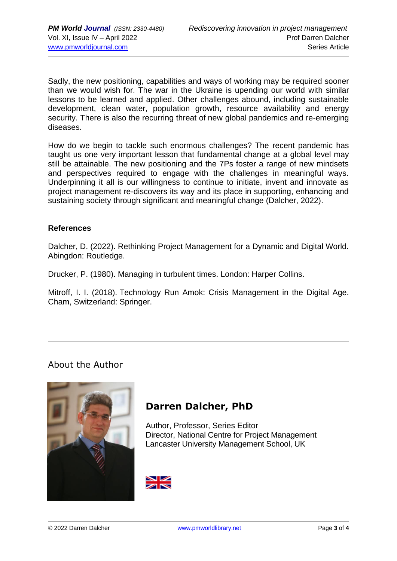Sadly, the new positioning, capabilities and ways of working may be required sooner than we would wish for. The war in the Ukraine is upending our world with similar lessons to be learned and applied. Other challenges abound, including sustainable development, clean water, population growth, resource availability and energy security. There is also the recurring threat of new global pandemics and re-emerging diseases.

How do we begin to tackle such enormous challenges? The recent pandemic has taught us one very important lesson that fundamental change at a global level may still be attainable. The new positioning and the 7Ps foster a range of new mindsets and perspectives required to engage with the challenges in meaningful ways. Underpinning it all is our willingness to continue to initiate, invent and innovate as project management re-discovers its way and its place in supporting, enhancing and sustaining society through significant and meaningful change (Dalcher, 2022).

#### **References**

Dalcher, D. (2022). Rethinking Project Management for a Dynamic and Digital World. Abingdon: Routledge.

Drucker, P. (1980). Managing in turbulent times. London: Harper Collins.

Mitroff, I. I. (2018). Technology Run Amok: Crisis Management in the Digital Age. Cham, Switzerland: Springer.

### About the Author



# **Darren Dalcher, PhD**

Author, Professor, Series Editor Director, National Centre for Project Management Lancaster University Management School, UK